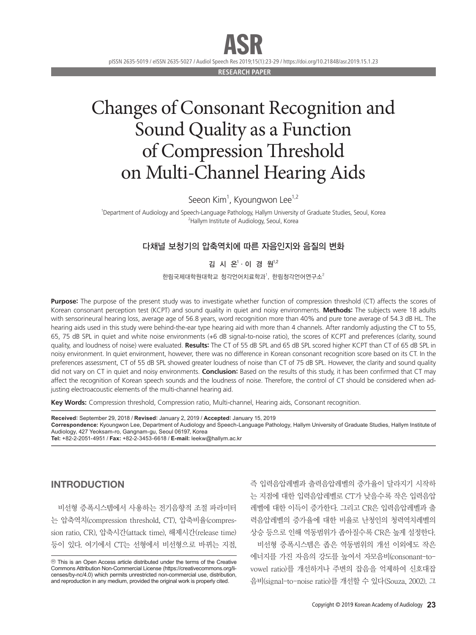# ASR

pISSN 2635-5019 / eISSN 2635-5027 / Audiol Speech Res 2019;15(1):23-29 / https://doi.org/10.21848/asr.2019.15.1.23

**RESEARCH PAPE** 

# Changes of Consonant Recognition and Sound Quality as a Function of Compression Threshold on Multi-Channel Hearing Aids

Seeon Kim<sup>1</sup>, Kyoungwon Lee<sup>1,2</sup>

1 Department of Audiology and Speech-Language Pathology, Hallym University of Graduate Studies, Seoul, Korea <sup>2</sup>Hallym Institute of Audiology, Seoul, Korea

# 다채널 보청기의 압축역치에 따른 자음인지와 음질의 변화

김 시 온<sup>1.</sup>이 경 원<sup>1,2</sup>

한림국제대학원대학교 청각언어치료학과<sup>1</sup>, 한림청각언어연구소<sup>2</sup>

**Purpose:** The purpose of the present study was to investigate whether function of compression threshold (CT) affects the scores of Korean consonant perception test (KCPT) and sound quality in quiet and noisy environments. **Methods:** The subjects were 18 adults with sensorineural hearing loss, average age of 56.8 years, word recognition more than 40% and pure tone average of 54.3 dB HL. The hearing aids used in this study were behind-the-ear type hearing aid with more than 4 channels. After randomly adjusting the CT to 55, 65, 75 dB SPL in quiet and white noise environments (+6 dB signal-to-noise ratio), the scores of KCPT and preferences (clarity, sound quality, and loudness of noise) were evaluated. **Results:** The CT of 55 dB SPL and 65 dB SPL scored higher KCPT than CT of 65 dB SPL in noisy environment. In quiet environment, however, there was no difference in Korean consonant recognition score based on its CT. In the preferences assessment, CT of 55 dB SPL showed greater loudness of noise than CT of 75 dB SPL. However, the clarity and sound quality did not vary on CT in quiet and noisy environments. **Conclusion:** Based on the results of this study, it has been confirmed that CT may affect the recognition of Korean speech sounds and the loudness of noise. Therefore, the control of CT should be considered when adjusting electroacoustic elements of the multi-channel hearing aid.

**Key Words:** Compression threshold, Compression ratio, Multi-channel, Hearing aids, Consonant recognition.

**Received:** September 29, 2018 / **Revised:** January 2, 2019 / **Accepted:** January 15, 2019 **Correspondence:** Kyoungwon Lee, Department of Audiology and Speech-Language Pathology, Hallym University of Graduate Studies, Hallym Institute of Audiology, 427 Yeoksam-ro, Gangnam-gu, Seoul 06197, Korea **Tel:** +82-2-2051-4951 / **Fax:** +82-2-3453-6618 / **E-mail:** leekw@hallym.ac.kr

# INTRODUCTION

비선형 증폭시스템에서 사용하는 전기음향적 조절 파라미터 는 압축역치(compression threshold, CT), 압축비율(compression ratio, CR), 압축시간(attack time), 해제시간(release time) 등이 있다. 여기에서 CT는 선형에서 비선형으로 바뀌는 지점, 즉 입력음압레벨과 출력음압레벨의 증가율이 달라지기 시작하 는 지점에 대한 입력음압레벨로 CT가 낮을수록 작은 입력음압 레벨에 대한 이득이 증가한다. 그리고 CR은 입력음압레벨과 출 력음압레벨의 증가율에 대한 비율로 난청인의 청력역치레벨의 상승 등으로 인해 역동범위가 좁아질수록 CR은 높게 설정한다. 비선형 증폭시스템은 좁은 역동범위의 개선 이외에도 작은 에너지를 가진 자음의 강도를 높여서 자모음비(consonant-tovowel ratio)를 개선하거나 주변의 잡음을 억제하여 신호대잡 음비(signal-to-noise ratio)를 개선할 수 있다(Souza, 2002). 그

cc This is an Open Access article distributed under the terms of the Creative Commons Attribution Non-Commercial License (https://creativecommons.org/licenses/by-nc/4.0) which permits unrestricted non-commercial use, distribution, and reproduction in any medium, provided the original work is properly cited.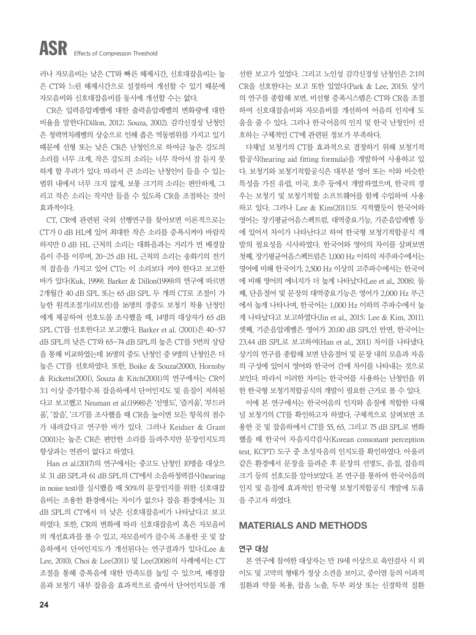러나 자모음비는 낮은 CT와 빠른 해제시간, 신호대잡음비는 높 은 CT와 느린 해제시간으로 설정하여 개선할 수 있기 때문에 자모음비와 신호대잡음비를 동시에 개선할 수는 없다.

CR은 입력음압레벨에 대한 출력음압레벨의 변화량에 대한 비율을 말한다(Dillon, 2012; Souza, 2002). 감각신경성 난청인 은 청력역치레벨의 상승으로 인해 좁은 역동범위를 가지고 있기 때문에 선형 또는 낮은 CR은 난청인으로 하여금 높은 강도의 소리를 너무 크게, 작은 강도의 소리는 너무 작아서 잘 듣지 못 하게 할 우려가 있다. 따라서 큰 소리는 난청인이 들을 수 있는 범위 내에서 너무 크지 않게, 보통 크기의 소리는 편안하게, 그 리고 작은 소리는 작지만 들을 수 있도록 CR을 조절하는 것이 효과적이다.

CT, CR에 관련된 국외 선행연구를 찾아보면 이론적으로는 CT가 0 dB HL에 있어 최대한 작은 소리를 증폭시켜야 바람직 하지만 0 dB HL 근처의 소리는 대화음과는 거리가 먼 배경잡 음이 주를 이루며, 20~25 dB HL 근처의 소리는 송화기의 전기 적 잡음을 가지고 있어 CT는 이 소리보다 커야 한다고 보고한 바가 있다(Kuk, 1999). Barker & Dillon(1999)의 연구에 따르면 2개월간 40 dB SPL 또는 65 dB SPL 두 개의 CT로 조절이 가 능한 원격조절기(리모컨)를 16명의 경중도 보청기 착용 난청인 에게 제공하여 선호도를 조사했을 때, 14명의 대상자가 65 dB SPL CT를 선호한다고 보고했다. Barker et al. (2001)은 40~57 dB SPL의 낮은 CT와 65~74 dB SPL의 높은 CT를 5번의 상담 을 통해 비교하였는데 16명의 중도 난청인 중 9명의 난청인은 더 높은 CT를 선호하였다. 또한, Boike & Souza(2000), Hornsby & Ricketts(2001), Souza & Kitch(2001)의 연구에서는 CR이 3:1 이상 증가할수록 잡음하에서 단어인지도 및 음질이 저하된 다고 보고했고 Neuman et al.(1998)은 '선명도', '즐거움', '부드러 움', '잡음', '크기'를 조사했을 때 CR을 높이면 모든 항목의 점수 가 내려갔다고 연구한 바가 있다. 그러나 Keidser & Grant (2001)는 높은 CR은 편안한 소리를 들려주지만 문장인지도의 향상과는 연관이 없다고 하였다.

Han et al.(2017)의 연구에서는 중고도 난청인 10명을 대상으 로 31 dB SPL과 61 dB SPL의 CT에서 소음하청력검사(hearing in noise test)를 실시했을 때 50%의 문장인지를 위한 신호대잡 음비는 조용한 환경에서는 차이가 없으나 잡음 환경에서는 31 dB SPL의 CT에서 더 낮은 신호대잡음비가 나타났다고 보고 하였다. 또한, CR의 변화에 따라 신호대잡음비 혹은 자모음비 의 개선효과를 볼 수 있고, 자모음비가 클수록 조용한 곳 및 잡 음하에서 단어인지도가 개선된다는 연구결과가 있다(Lee & Lee, 2010). Choi & Lee(2011) 및 Lee(2008)의 사례에서는 CT 조절을 통해 증폭음에 대한 만족도를 높일 수 있으며, 배경잡 음과 보청기 내부 잡음을 효과적으로 줄여서 단어인지도를 개

선한 보고가 있었다. 그리고 노인성 감각신경성 난청인은 2:1의 CR을 선호한다는 보고 또한 있었다(Park & Lee, 2015). 상기 의 연구를 종합해 보면, 비선형 증폭시스템은 CT와 CR을 조절 하여 신호대잡음비와 자모음비를 개선하여 어음의 인지에 도 움을 줄 수 있다. 그러나 한국어음의 인지 및 한국 난청인이 선 호하는 구체적인 CT에 관련된 정보가 부족하다.

다채널 보청기의 CT를 효과적으로 결정하기 위해 보청기적 합공식(hearing aid fitting formula)을 개발하여 사용하고 있 다. 보청기와 보청기적합공식은 대부분 영어 또는 이와 비슷한 특성을 가진 유럽, 미국, 호주 등에서 개발하였으며, 한국의 경 우는 보청기 및 보청기적합 소프트웨어를 함께 수입하여 사용 하고 있다. 그러나 Lee & Kim(2011)도 지적했듯이 한국어와 영어는 장기평균어음스펙트럼, 대역중요기능, 기준음압레벨 등 에 있어서 차이가 나타난다고 하여 한국형 보청기적합공식 개 발의 필요성을 시사하였다. 한국어와 영어의 차이를 살펴보면 첫째, 장기평균어음스펙트럼은 1,000 Hz 이하의 저주파수에서는 영어에 비해 한국어가, 2,500 Hz 이상의 고주파수에서는 한국어 에 비해 영어의 에너지가 더 높게 나타났다(Lee et al., 2008). 둘 째, 단음절어 및 문장의 대역중요기능은 영어가 2,000 Hz 부근 에서 높게 나타나며, 한국어는 1,000 Hz 이하의 주파수에서 높 게 나타났다고 보고하였다(Jin et al., 2015; Lee & Kim, 2011). 셋째, 기준음압레벨은 영어가 20.00 dB SPL인 반면, 한국어는 23.44 dB SPL로 보고하여(Han et al., 2011) 차이를 나타냈다. 상기의 연구를 종합해 보면 단음절어 및 문장 내의 모음과 자음 의 구성에 있어서 영어와 한국어 간에 차이를 나타내는 것으로 보인다. 따라서 이러한 차이는 한국어를 사용하는 난청인을 위 한 한국형 보청기적합공식의 개발이 필요한 근거로 볼 수 있다.

이에 본 연구에서는 한국어음의 인지와 음질에 적합한 다채 널 보청기의 CT를 확인하고자 하였다. 구체적으로 살펴보면 조 용한 곳 및 잡음하에서 CT를 55, 65, 그리고 75 dB SPL로 변화 했을 때 한국어 자음지각검사(Korean consonant perception test, KCPT) 도구 중 초성자음의 인지도를 확인하였다. 아울러 같은 환경에서 문장을 들려준 후 문장의 선명도, 음질, 잡음의 크기 등의 선호도를 알아보았다. 본 연구를 통하여 한국어음의 인지 및 음질에 효과적인 한국형 보청기적합공식 개발에 도움 을 주고자 하였다.

### MATERIALS AND METHODS

#### 연구 대상

본 연구에 참여한 대상자는 만 19세 이상으로 육안검사 시 외 이도 및 고막의 형태가 정상 소견을 보이고, 중이염 등의 이과적 질환과 약물 복용, 잡음 노출, 두부 외상 또는 신경학적 질환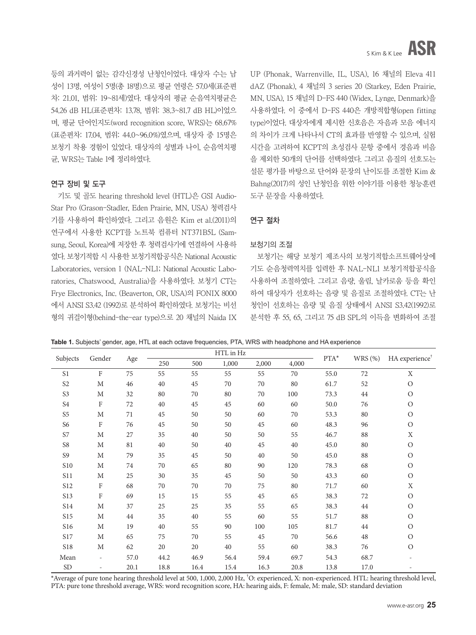등의 과거력이 없는 감각신경성 난청인이었다. 대상자 수는 남 성이 13명, 여성이 5명(총 18명)으로 평균 연령은 57.0세(표준편 차: 21.01, 범위: 19~81세)였다. 대상자의 평균 순음역치평균은 54.26 dB HL(표준편차: 13.78, 범위: 38.3~81.7 dB HL)이었으 며, 평균 단어인지도(word recognition score, WRS)는 68.67% (표준편차: 17.04, 범위: 44.0~96.0%)였으며, 대상자 중 15명은 보청기 착용 경험이 있었다. 대상자의 성별과 나이, 순음역치평 균, WRS는 Table 1에 정리하였다.

# 연구 장비 및 도구

기도 및 골도 hearing threshold level (HTL)은 GSI Audio-Star Pro (Grason-Stadler, Eden Prairie, MN, USA) 청력검사 기를 사용하여 확인하였다. 그리고 음원은 Kim et al.(2011)의 연구에서 사용한 KCPT를 노트북 컴퓨터 NT371B5L (Samsung, Seoul, Korea)에 저장한 후 청력검사기에 연결하여 사용하 였다. 보청기적합 시 사용한 보청기적합공식은 National Acoustic Laboratories, version 1 (NAL-NL1; National Acoustic Laboratories, Chatswood, Australia)을 사용하였다. 보청기 CT는 Frye Electronics, Inc. (Beaverton, OR, USA)의 FONIX 8000 에서 ANSI S3.42 (1992)로 분석하여 확인하였다. 보청기는 비선 형의 귀걸이형(behind-the-ear type)으로 20 채널의 Naida IX

UP (Phonak, Warrenville, IL, USA), 16 채널의 Eleva 411 dAZ (Phonak), 4 채널의 3 series 20 (Starkey, Eden Prairie, MN, USA), 15 채널의 D-FS 440 (Widex, Lynge, Denmark)을 사용하였다. 이 중에서 D-FS 440은 개방적합형(open fitting type)이었다. 대상자에게 제시한 신호음은 자음과 모음 에너지 의 차이가 크게 나타나서 CT의 효과를 반영할 수 있으며, 실험 시간을 고려하여 KCPT의 초성검사 문항 중에서 경음과 비음 을 제외한 50개의 단어를 선택하였다. 그리고 음질의 선호도는 설문 평가를 바탕으로 단어와 문장의 난이도를 조절한 Kim & Bahng(2017)의 성인 난청인을 위한 이야기를 이용한 청능훈련 도구 문장을 사용하였다.

# 연구 절차

#### 보청기의 조절

보청기는 해당 보청기 제조사의 보청기적합소프트웨어상에 기도 순음청력역치를 입력한 후 NAL-NL1 보청기적합공식을 사용하여 조절하였다. 그리고 음량, 울림, 날카로움 등을 확인 하여 대상자가 선호하는 음량 및 음질로 조절하였다. CT는 난 청인이 선호하는 음량 및 음질 상태에서 ANSI S3.42(1992)로 분석한 후 55, 65, 그리고 75 dB SPL의 이득을 변화하여 조절

| Table 1. Subjects' gender, age, HTL at each octave frequencies, PTA, WRS with headphone and HA experience |  |
|-----------------------------------------------------------------------------------------------------------|--|
|-----------------------------------------------------------------------------------------------------------|--|

|                    |                          |      | HTL in Hz |        |       |       |         |        | HA experience <sup>†</sup> |               |
|--------------------|--------------------------|------|-----------|--------|-------|-------|---------|--------|----------------------------|---------------|
| Subjects<br>Gender | Age                      | 250  | 500       | 1,000  | 2,000 | 4,000 | $PTA^*$ | WRS(%) |                            |               |
| S <sub>1</sub>     | $\mathbf F$              | 75   | 55        | 55     | 55    | 55    | 70      | 55.0   | 72                         | X             |
| S <sub>2</sub>     | M                        | 46   | 40        | 45     | 70    | 70    | 80      | 61.7   | 52                         | $\bigcirc$    |
| S3                 | M                        | 32   | 80        | 70     | 80    | 70    | 100     | 73.3   | 44                         | $\mathcal{O}$ |
| S <sub>4</sub>     | F                        | 72   | 40        | 45     | 45    | 60    | 60      | 50.0   | 76                         | $\mathcal{O}$ |
| S5                 | M                        | 71   | 45        | 50     | 50    | 60    | 70      | 53.3   | 80                         | $\mathcal{O}$ |
| S <sub>6</sub>     | F                        | 76   | 45        | 50     | 50    | 45    | 60      | 48.3   | 96                         | $\mathcal{O}$ |
| S7                 | M                        | 27   | 35        | 40     | 50    | 50    | 55      | 46.7   | 88                         | X             |
| S8                 | M                        | 81   | 40        | 50     | 40    | 45    | 40      | 45.0   | 80                         | $\mathcal{O}$ |
| S9                 | M                        | 79   | 35        | 45     | 50    | 40    | 50      | 45.0   | 88                         | $\mathcal{O}$ |
| S10                | M                        | 74   | 70        | 65     | 80    | 90    | 120     | 78.3   | 68                         | $\mathcal{O}$ |
| S <sub>11</sub>    | M                        | 25   | 30        | 35     | 45    | 50    | 50      | 43.3   | 60                         | $\circ$       |
| <b>S12</b>         | F                        | 68   | 70        | 70     | 70    | 75    | 80      | 71.7   | 60                         | $\mathbf X$   |
| S13                | $\rm F$                  | 69   | 15        | 15     | 55    | 45    | 65      | 38.3   | 72                         | $\mathcal{O}$ |
| S14                | M                        | 37   | 25        | 25     | 35    | 55    | 65      | 38.3   | 44                         | $\circ$       |
| S15                | M                        | 44   | 35        | $40\,$ | 55    | 60    | 55      | 51.7   | 88                         | $\mathcal{O}$ |
| S16                | M                        | 19   | 40        | 55     | 90    | 100   | 105     | 81.7   | 44                         | $\mathcal{O}$ |
| S <sub>17</sub>    | M                        | 65   | 75        | 70     | 55    | 45    | 70      | 56.6   | 48                         | $\mathcal{O}$ |
| S18                | M                        | 62   | 20        | 20     | 40    | 55    | 60      | 38.3   | 76                         | $\mathcal{O}$ |
| Mean               | $\overline{\phantom{a}}$ | 57.0 | 44.2      | 46.9   | 56.4  | 59.4  | 69.7    | 54.3   | 68.7                       |               |
| <b>SD</b>          | $\overline{\phantom{a}}$ | 20.1 | 18.8      | 16.4   | 15.4  | 16.3  | 20.8    | 13.8   | 17.0                       |               |

\*Average of pure tone hearing threshold level at 500, 1,000, 2,000 Hz, † O: experienced, X: non-experienced. HTL: hearing threshold level, PTA: pure tone threshold average, WRS: word recognition score, HA: hearing aids, F: female, M: male, SD: standard deviation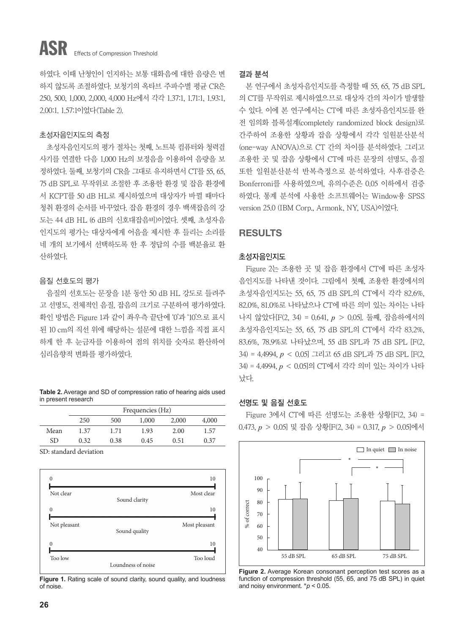# ASR Effects of Compression Threshold

하였다. 이때 난청인이 인지하는 보통 대화음에 대한 음량은 변 하지 않도록 조절하였다. 보청기의 옥타브 주파수별 평균 CR은 250, 500, 1,000, 2,000, 4,000 Hz에서 각각 1.37:1, 1.71:1, 1.93:1, 2.00:1. 1.57:1이었다(Table 2).

#### 초성자음인지도의 측정

초성자음인지도의 평가 절차는 첫째, 노트북 컴퓨터와 청력검 사기를 연결한 다음 1,000 Hz의 보정음을 이용하여 음량을 보 정하였다. 둘째, 보청기의 CR을 그대로 유지하면서 CT를 55, 65, 75 dB SPL로 무작위로 조절한 후 조용한 환경 및 잡음 환경에 서 KCPT를 50 dB HL로 제시하였으며 대상자가 바뀔 때마다 청취 환경의 순서를 바꾸었다. 잡음 환경의 경우 백색잡음의 강 도는 44 dB HL (6 dB의 신호대잡음비)이었다. 셋째, 초성자음 인지도의 평가는 대상자에게 어음을 제시한 후 들리는 소리를 네 개의 보기에서 선택하도록 한 후 정답의 수를 백분율로 환 산하였다.

#### 음질 선호도의 평가

음질의 선호도는 문장을 1분 동안 50 dB HL 강도로 들려주 고 선명도, 전체적인 음질, 잡음의 크기로 구분하여 평가하였다. 확인 방법은 Figure 1과 같이 좌우측 끝단에 '0'과 '10'으로 표시 된 10 cm의 직선 위에 해당하는 설문에 대한 느낌을 직접 표시 하게 한 후 눈금자를 이용하여 점의 위치를 숫자로 환산하여 심리음향적 변화를 평가하였다.

| Table 2. Average and SD of compression ratio of hearing aids used |  |
|-------------------------------------------------------------------|--|
| in present research                                               |  |

|      | Frequencies (Hz) |      |       |       |       |  |
|------|------------------|------|-------|-------|-------|--|
|      | 250              | 500  | 1,000 | 2,000 | 4,000 |  |
| Mean | 1.37             | 1.71 | 1.93  | 2.00  | 1.57  |  |
| SD   | 0.32             | 0.38 | 0.45  | 0.51  | 0.37  |  |

SD: standard deviation



**Figure 1.** Rating scale of sound clarity, sound quality, and loudness of noise.

#### 결과 분석

본 연구에서 초성자음인지도를 측정할 때 55, 65, 75 dB SPL 의 CT를 무작위로 제시하였으므로 대상자 간의 차이가 발생할 수 있다. 이에 본 연구에서는 CT에 따른 초성자음인지도를 완 전 임의화 블록설계(completely randomized block design)로 간주하여 조용한 상황과 잡음 상황에서 각각 일원분산분석 (one-way ANOVA)으로 CT 간의 차이를 분석하였다. 그리고 조용한 곳 및 잡음 상황에서 CT에 따른 문장의 선명도, 음질 또한 일원분산분석 반복측정으로 분석하였다. 사후검증은 Bonferroni를 사용하였으며, 유의수준은 0.05 이하에서 검증 하였다. 통계 분석에 사용한 소프트웨어는 Window용 SPSS version 25.0 (IBM Corp., Armonk, NY, USA)이었다.

# RESULTS

#### 초성자음인지도

Figure 2는 조용한 곳 및 잡음 환경에서 CT에 따른 초성자 음인지도를 나타낸 것이다. 그림에서 첫째, 조용한 환경에서의 초성자음인지도는 55, 65, 75 dB SPL의 CT에서 각각 82.6%, 82.0%, 81.0%로 나타났으나 CT에 따른 의미 있는 차이는 나타 나지 않았다[F(2, 34) = 0.641, *p* > 0.05]. 둘째, 잡음하에서의 초성자음인지도는 55, 65, 75 dB SPL의 CT에서 각각 83.2%, 83.6%, 78.9%로 나타났으며, 55 dB SPL과 75 dB SPL [F(2, 34) = 4.4994, *p* < 0.05] 그리고 65 dB SPL과 75 dB SPL [F(2, 34) = 4.4994, *p* < 0.05]의 CT에서 각각 의미 있는 차이가 나타 났다.

# 선명도 및 음질 선호도

Figure 3에서 CT에 따른 선명도는 조용한 상황[F(2, 34) = 0.473, *p* > 0.05] 및 잡음 상황[F(2, 34) = 0.317, *p* > 0.05]에서



**Figure 2.** Average Korean consonant perception test scores as a function of compression threshold (55, 65, and 75 dB SPL) in quiet and noisy environment. \**p* < 0.05.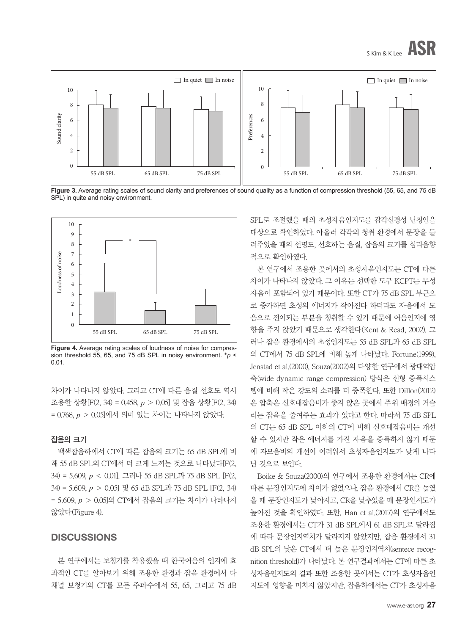

Figure 3. Average rating scales of sound clarity and preferences of sound quality as a function of compression threshold (55, 65, and 75 dB SPL) in quite and noisy environment.



**Figure 4.** Average rating scales of loudness of noise for compression threshold 55, 65, and 75 dB SPL in noisy environment. \**p* < 0.01.

차이가 나타나지 않았다. 그리고 CT에 다른 음질 선호도 역시 조용한 상황[F(2, 34) = 0.458, *p* > 0.05] 및 잡음 상황[F(2, 34) = 0.768, *p* > 0.05]에서 의미 있는 차이는 나타나지 않았다.

#### 잡음의 크기

백색잡음하에서 CT에 따른 잡음의 크기는 65 dB SPL에 비 해 55 dB SPL의 CT에서 더 크게 느끼는 것으로 나타났다[F(2, 34) = 5.609, *p* < 0.01]. 그러나 55 dB SPL과 75 dB SPL [F(2, 34) = 5.609, *p* > 0.05] 및 65 dB SPL과 75 dB SPL [F(2, 34) = 5.609, *p* > 0.05]의 CT에서 잡음의 크기는 차이가 나타나지 않았다(Figure 4).

# **DISCUSSIONS**

본 연구에서는 보청기를 착용했을 때 한국어음의 인지에 효 과적인 CT를 알아보기 위해 조용한 환경과 잡음 환경에서 다 채널 보청기의 CT를 모든 주파수에서 55, 65, 그리고 75 dB SPL로 조절했을 때의 초성자음인지도를 감각신경성 난청인을 대상으로 확인하였다. 아울러 각각의 청취 환경에서 문장을 들 려주었을 때의 선명도, 선호하는 음질, 잡음의 크기를 심리음향 적으로 확인하였다.

본 연구에서 조용한 곳에서의 초성자음인지도는 CT에 따른 차이가 나타나지 않았다. 그 이유는 선택한 도구 KCPT는 무성 자음이 포함되어 있기 때문이다. 또한 CT가 75 dB SPL 부근으 로 증가하면 초성의 에너지가 작아진다 하더라도 자음에서 모 음으로 전이되는 부분을 청취할 수 있기 때문에 어음인지에 영 향을 주지 않았기 때문으로 생각한다(Kent & Read, 2002). 그 러나 잡음 환경에서의 초성인지도는 55 dB SPL과 65 dB SPL 의 CT에서 75 dB SPL에 비해 높게 나타났다. Fortune(1999), Jenstad et al.(2000), Souza(2002)의 다양한 연구에서 광대역압 축(wide dynamic range compression) 방식은 선형 증폭시스 템에 비해 작은 강도의 소리를 더 증폭한다. 또한 Dillon(2012) 은 압축은 신호대잡음비가 좋지 않은 곳에서 주위 배경의 거슬 리는 잡음을 줄여주는 효과가 있다고 한다. 따라서 75 dB SPL 의 CT는 65 dB SPL 이하의 CT에 비해 신호대잡음비는 개선 할 수 있지만 작은 에너지를 가진 자음을 증폭하지 않기 때문 에 자모음비의 개선이 어려워서 초성자음인지도가 낮게 나타 난 것으로 보인다.

Boike & Souza(2000)의 연구에서 조용한 환경에서는 CR에 따른 문장인지도에 차이가 없었으나, 잡음 환경에서 CR을 높였 을 때 문장인지도가 낮아지고, CR을 낮추었을 때 문장인지도가 높아진 것을 확인하였다. 또한, Han et al.(2017)의 연구에서도 조용한 환경에서는 CT가 31 dB SPL에서 61 dB SPL로 달라짐 에 따라 문장인지역치가 달라지지 않았지만, 잡음 환경에서 31 dB SPL의 낮은 CT에서 더 높은 문장인지역치(sentece recognition threshold)가 나타났다. 본 연구결과에서는 CT에 따른 초 성자음인지도의 결과 또한 조용한 곳에서는 CT가 초성자음인 지도에 영향을 미치지 않았지만, 잡음하에서는 CT가 초성자음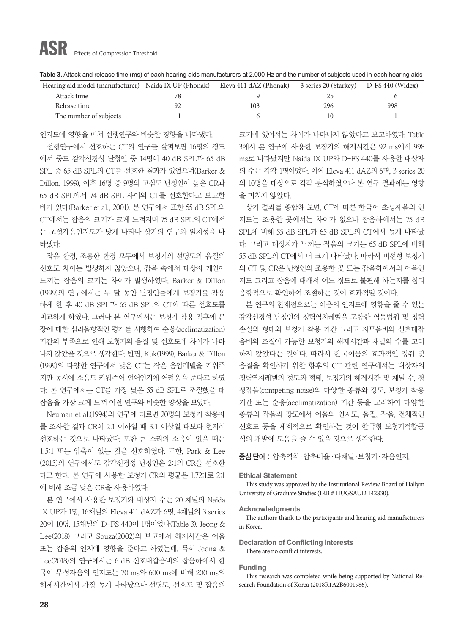# ASR Effects of Compression Threshold

| Table 3. Attack and release time (ms) of each hearing aids manufacturers at 2,000 Hz and the number of subjects used in each hearing aids |  |
|-------------------------------------------------------------------------------------------------------------------------------------------|--|
|-------------------------------------------------------------------------------------------------------------------------------------------|--|

| Hearing aid model (manufacturer) Naida IX UP (Phonak) | Eleva 411 dAZ (Phonak) | 3 series 20 (Starkey) D-FS 440 (Widex) |     |
|-------------------------------------------------------|------------------------|----------------------------------------|-----|
| Attack time                                           |                        |                                        |     |
| Release time                                          | 103                    | 296                                    | 998 |
| The number of subjects                                |                        |                                        |     |

인지도에 영향을 미쳐 선행연구와 비슷한 경향을 나타냈다.

선행연구에서 선호하는 CT의 연구를 살펴보면 16명의 경도 에서 중도 감각신경성 난청인 중 14명이 40 dB SPL과 65 dB SPL 중 65 dB SPL의 CT를 선호한 결과가 있었으며(Barker & Dillon, 1999), 이후 16명 중 9명의 고심도 난청인이 높은 CR과 65 dB SPL에서 74 dB SPL 사이의 CT를 선호한다고 보고한 바가 있다(Barker et al., 2001). 본 연구에서 또한 55 dB SPL의 CT에서는 잡음의 크기가 크게 느껴지며 75 dB SPL의 CT에서 는 초성자음인지도가 낮게 나타나 상기의 연구와 일치성을 나 타냈다.

잡음 환경, 조용한 환경 모두에서 보청기의 선명도와 음질의 선호도 차이는 발생하지 않았으나, 잡음 속에서 대상자 개인이 느끼는 잡음의 크기는 차이가 발생하였다. Barker & Dillon (1999)의 연구에서는 두 달 동안 난청인들에게 보청기를 착용 하게 한 후 40 dB SPL과 65 dB SPL의 CT에 따른 선호도를 비교하게 하였다. 그러나 본 연구에서는 보청기 착용 직후에 문 장에 대한 심리음향적인 평가를 시행하여 순응(acclimatization) 기간의 부족으로 인해 보청기의 음질 및 선호도에 차이가 나타 나지 않았을 것으로 생각한다. 반면, Kuk(1999), Barker & Dillon (1999)의 다양한 연구에서 낮은 CT는 작은 음압레벨을 키워주 지만 동시에 소음도 키워주어 언어인지에 어려움을 준다고 하였 다. 본 연구에서는 CT를 가장 낮은 55 dB SPL로 조절했을 때 잡음을 가장 크게 느껴 이전 연구와 비슷한 양상을 보였다.

Neuman et al.(1994)의 연구에 따르면 20명의 보청기 착용자 를 조사한 결과 CR이 2:1 이하일 때 3:1 이상일 때보다 현저히 선호하는 것으로 나타났다. 또한 큰 소리의 소음이 있을 때는 1.5:1 또는 압축이 없는 것을 선호하였다. 또한, Park & Lee (2015)의 연구에서도 감각신경성 난청인은 2:1의 CR을 선호한 다고 한다. 본 연구에 사용한 보청기 CR의 평균은 1.72:1로 2:1 에 비해 조금 낮은 CR을 사용하였다.

본 연구에서 사용한 보청기와 대상자 수는 20 채널의 Naida IX UP가 1명, 16채널의 Eleva 411 dAZ가 6명, 4채널의 3 series 20이 10명, 15채널의 D-FS 440이 1명이었다(Table 3). Jeong & Lee(2018) 그리고 Souza(2002)의 보고에서 해제시간은 어음 또는 잡음의 인지에 영향을 준다고 하였는데, 특히 Jeong & Lee(2018)의 연구에서는 6 dB 신호대잡음비의 잡음하에서 한 국어 무성자음의 인지도는 70 ms와 600 ms에 비해 200 ms의 해제시간에서 가장 높게 나타났으나 선명도, 선호도 및 잡음의 크기에 있어서는 차이가 나타나지 않았다고 보고하였다. Table 3에서 본 연구에 사용한 보청기의 해제시간은 92 ms에서 998 ms로 나타났지만 Naida IX UP와 D-FS 440를 사용한 대상자 의 수는 각각 1명이었다. 이에 Eleva 411 dAZ의 6명, 3 series 20 의 10명을 대상으로 각각 분석하였으나 본 연구 결과에는 영향 을 미치지 않았다.

상기 결과를 종합해 보면, CT에 따른 한국어 초성자음의 인 지도는 조용한 곳에서는 차이가 없으나 잡음하에서는 75 dB SPL에 비해 55 dB SPL과 65 dB SPL의 CT에서 높게 나타났 다. 그리고 대상자가 느끼는 잡음의 크기는 65 dB SPL에 비해 55 dB SPL의 CT에서 더 크게 나타났다. 따라서 비선형 보청기 의 CT 및 CR은 난청인의 조용한 곳 또는 잡음하에서의 어음인 지도 그리고 잡음에 대해서 어느 정도로 불편해 하는지를 심리 음향적으로 확인하여 조절하는 것이 효과적일 것이다.

본 연구의 한계점으로는 어음의 인지도에 영향을 줄 수 있는 감각신경성 난청인의 청력역치레벨을 포함한 역동범위 및 청력 손실의 형태와 보청기 착용 기간 그리고 자모음비와 신호대잡 음비의 조절이 가능한 보청기의 해제시간과 채널의 수를 고려 하지 않았다는 것이다. 따라서 한국어음의 효과적인 청취 및 음질을 확인하기 위한 향후의 CT 관련 연구에서는 대상자의 청력역치레벨의 정도와 형태, 보청기의 해제시간 및 채널 수, 경 쟁잡음(competing noise)의 다양한 종류와 강도, 보청기 착용 기간 또는 순응(acclimatization) 기간 등을 고려하여 다양한 종류의 잡음과 강도에서 어음의 인지도, 음질, 잡음, 전체적인 선호도 등을 체계적으로 확인하는 것이 한국형 보청기적합공 식의 개발에 도움을 줄 수 있을 것으로 생각한다.

중심 단어 : 압축역치·압축비율·다채널·보청기·자음인지.

#### **Ethical Statement**

This study was approved by the Institutional Review Board of Hallym University of Graduate Studies (IRB # HUGSAUD 142830).

#### **Acknowledgments**

The authors thank to the participants and hearing aid manufacturers in Korea.

**Declaration of Conflicting Interests** There are no conflict interests.

#### **Funding**

This research was completed while being supported by National Research Foundation of Korea (2018R1A2B6001986).